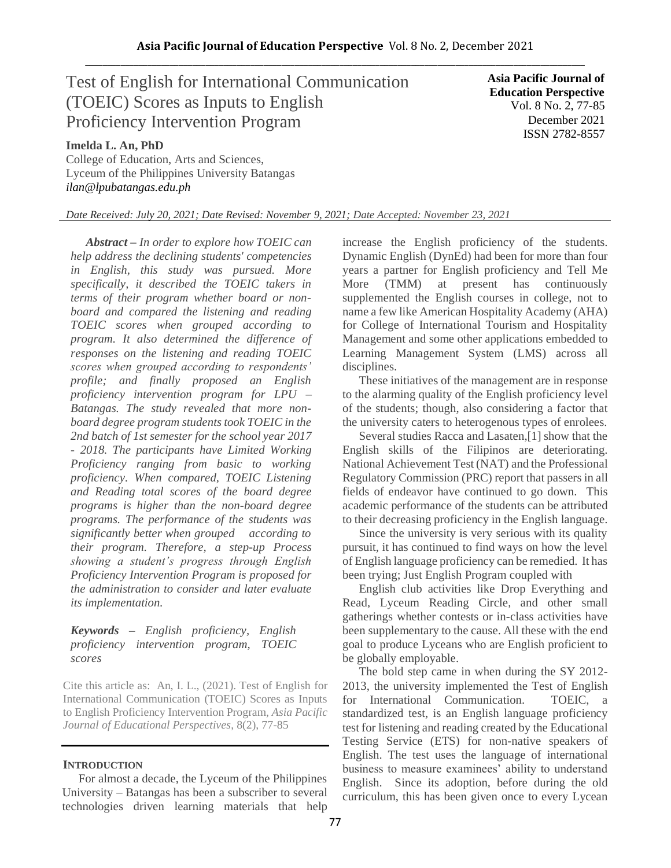# Test of English for International Communication (TOEIC) Scores as Inputs to English Proficiency Intervention Program

**Asia Pacific Journal of Education Perspective** Vol. 8 No. 2, 77-85 December 2021 ISSN 2782-8557

# **Imelda L. An, PhD**

College of Education, Arts and Sciences, Lyceum of the Philippines University Batangas *ilan@lpubatangas.edu.ph*

*Date Received: July 20, 2021; Date Revised: November 9, 2021; Date Accepted: November 23, 2021*

*Abstract – In order to explore how TOEIC can help address the declining students' competencies in English, this study was pursued. More specifically, it described the TOEIC takers in terms of their program whether board or nonboard and compared the listening and reading TOEIC scores when grouped according to program. It also determined the difference of responses on the listening and reading TOEIC scores when grouped according to respondents' profile; and finally proposed an English proficiency intervention program for LPU – Batangas. The study revealed that more nonboard degree program students took TOEIC in the 2nd batch of 1st semester for the school year 2017 - 2018. The participants have Limited Working Proficiency ranging from basic to working proficiency. When compared, TOEIC Listening and Reading total scores of the board degree programs is higher than the non-board degree programs. The performance of the students was significantly better when grouped according to their program. Therefore, a step-up Process showing a student's progress through English Proficiency Intervention Program is proposed for the administration to consider and later evaluate its implementation.*

# *Keywords – English proficiency, English proficiency intervention program, TOEIC scores*

Cite this article as: An, I. L., (2021). Test of English for International Communication (TOEIC) Scores as Inputs to English Proficiency Intervention Program, *Asia Pacific Journal of Educational Perspectives*, 8(2), 77-85

# **INTRODUCTION**

For almost a decade, the Lyceum of the Philippines University – Batangas has been a subscriber to several technologies driven learning materials that help increase the English proficiency of the students. Dynamic English (DynEd) had been for more than four years a partner for English proficiency and Tell Me More (TMM) at present has continuously supplemented the English courses in college, not to name a few like American Hospitality Academy (AHA) for College of International Tourism and Hospitality Management and some other applications embedded to Learning Management System (LMS) across all disciplines.

These initiatives of the management are in response to the alarming quality of the English proficiency level of the students; though, also considering a factor that the university caters to heterogenous types of enrolees.

Several studies Racca and Lasaten,[1] show that the English skills of the Filipinos are deteriorating. National Achievement Test (NAT) and the Professional Regulatory Commission (PRC) report that passers in all fields of endeavor have continued to go down. This academic performance of the students can be attributed to their decreasing proficiency in the English language.

Since the university is very serious with its quality pursuit, it has continued to find ways on how the level of English language proficiency can be remedied. It has been trying; Just English Program coupled with

English club activities like Drop Everything and Read, Lyceum Reading Circle, and other small gatherings whether contests or in-class activities have been supplementary to the cause. All these with the end goal to produce Lyceans who are English proficient to be globally employable.

The bold step came in when during the SY 2012- 2013, the university implemented the Test of English for International Communication. TOEIC, a standardized test, is an English language proficiency test for listening and reading created by the Educational Testing Service (ETS) for non-native speakers of English. The test uses the language of international business to measure examinees' ability to understand English. Since its adoption, before during the old curriculum, this has been given once to every Lycean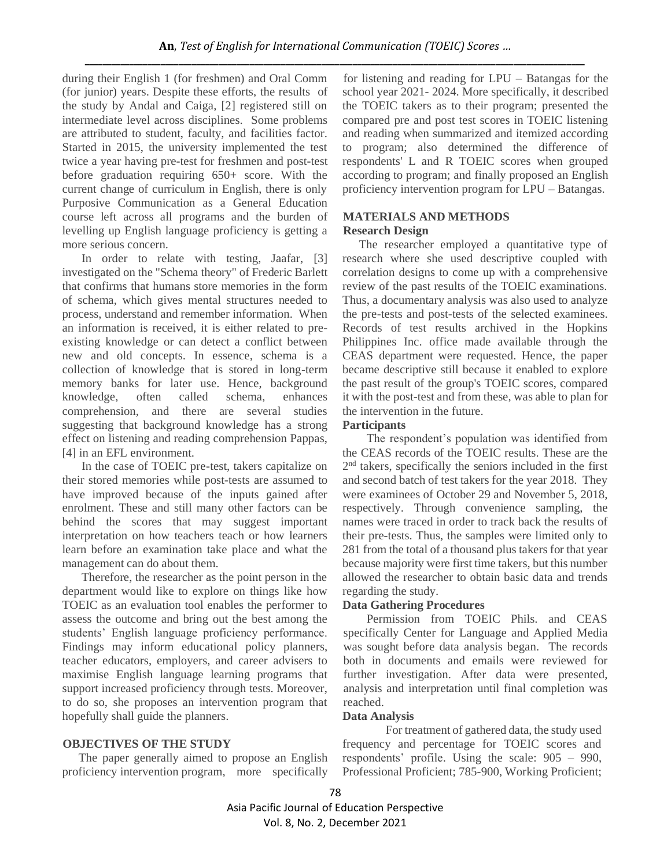during their English 1 (for freshmen) and Oral Comm (for junior) years. Despite these efforts, the results of the study by Andal and Caiga, [2] registered still on intermediate level across disciplines. Some problems are attributed to student, faculty, and facilities factor. Started in 2015, the university implemented the test twice a year having pre-test for freshmen and post-test before graduation requiring 650+ score. With the current change of curriculum in English, there is only Purposive Communication as a General Education course left across all programs and the burden of levelling up English language proficiency is getting a more serious concern.

In order to relate with testing, Jaafar, [3] investigated on the "Schema theory" of Frederic Barlett that confirms that humans store memories in the form of schema, which gives mental structures needed to process, understand and remember information. When an information is received, it is either related to preexisting knowledge or can detect a conflict between new and old concepts. In essence, schema is a collection of knowledge that is stored in long-term memory banks for later use. Hence, background knowledge, often called schema, enhances comprehension, and there are several studies suggesting that background knowledge has a strong effect on listening and reading comprehension Pappas, [4] in an EFL environment.

In the case of TOEIC pre-test, takers capitalize on their stored memories while post-tests are assumed to have improved because of the inputs gained after enrolment. These and still many other factors can be behind the scores that may suggest important interpretation on how teachers teach or how learners learn before an examination take place and what the management can do about them.

Therefore, the researcher as the point person in the department would like to explore on things like how TOEIC as an evaluation tool enables the performer to assess the outcome and bring out the best among the students' English language proficiency performance. Findings may inform educational policy planners, teacher educators, employers, and career advisers to maximise English language learning programs that support increased proficiency through tests. Moreover, to do so, she proposes an intervention program that hopefully shall guide the planners.

# **OBJECTIVES OF THE STUDY**

The paper generally aimed to propose an English proficiency intervention program, more specifically for listening and reading for LPU – Batangas for the school year 2021- 2024. More specifically, it described the TOEIC takers as to their program; presented the compared pre and post test scores in TOEIC listening and reading when summarized and itemized according to program; also determined the difference of respondents' L and R TOEIC scores when grouped according to program; and finally proposed an English proficiency intervention program for LPU – Batangas.

# **MATERIALS AND METHODS Research Design**

The researcher employed a quantitative type of research where she used descriptive coupled with correlation designs to come up with a comprehensive review of the past results of the TOEIC examinations. Thus, a documentary analysis was also used to analyze the pre-tests and post-tests of the selected examinees. Records of test results archived in the Hopkins Philippines Inc. office made available through the CEAS department were requested. Hence, the paper became descriptive still because it enabled to explore the past result of the group's TOEIC scores, compared it with the post-test and from these, was able to plan for the intervention in the future.

# **Participants**

The respondent's population was identified from the CEAS records of the TOEIC results. These are the 2 nd takers, specifically the seniors included in the first and second batch of test takers for the year 2018. They were examinees of October 29 and November 5, 2018, respectively. Through convenience sampling, the names were traced in order to track back the results of their pre-tests. Thus, the samples were limited only to 281 from the total of a thousand plus takers for that year because majority were first time takers, but this number allowed the researcher to obtain basic data and trends regarding the study.

# **Data Gathering Procedures**

Permission from TOEIC Phils. and CEAS specifically Center for Language and Applied Media was sought before data analysis began. The records both in documents and emails were reviewed for further investigation. After data were presented, analysis and interpretation until final completion was reached.

#### **Data Analysis**

For treatment of gathered data, the study used frequency and percentage for TOEIC scores and respondents' profile. Using the scale: 905 – 990, Professional Proficient; 785-900, Working Proficient;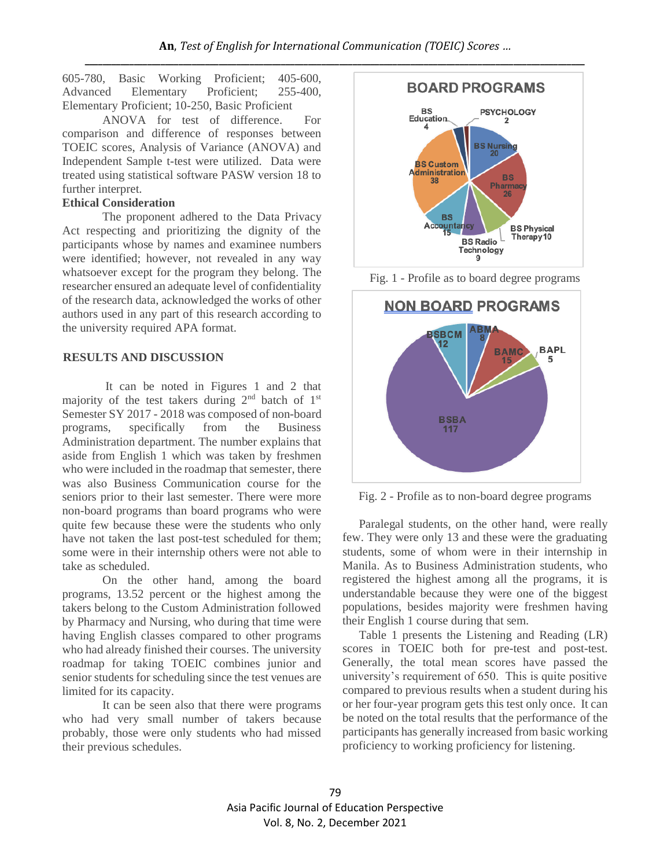605-780, Basic Working Proficient; 405-600, Advanced Elementary Proficient; 255-400, Elementary Proficient; 10-250, Basic Proficient

ANOVA for test of difference. For comparison and difference of responses between TOEIC scores, Analysis of Variance (ANOVA) and Independent Sample t-test were utilized. Data were treated using statistical software PASW version 18 to further interpret.

### **Ethical Consideration**

The proponent adhered to the Data Privacy Act respecting and prioritizing the dignity of the participants whose by names and examinee numbers were identified; however, not revealed in any way whatsoever except for the program they belong. The researcher ensured an adequate level of confidentiality of the research data, acknowledged the works of other authors used in any part of this research according to the university required APA format.

## **RESULTS AND DISCUSSION**

It can be noted in Figures 1 and 2 that majority of the test takers during  $2<sup>nd</sup>$  batch of  $1<sup>st</sup>$ Semester SY 2017 - 2018 was composed of non-board programs, specifically from the Business Administration department. The number explains that aside from English 1 which was taken by freshmen who were included in the roadmap that semester, there was also Business Communication course for the seniors prior to their last semester. There were more non-board programs than board programs who were quite few because these were the students who only have not taken the last post-test scheduled for them; some were in their internship others were not able to take as scheduled.

On the other hand, among the board programs, 13.52 percent or the highest among the takers belong to the Custom Administration followed by Pharmacy and Nursing, who during that time were having English classes compared to other programs who had already finished their courses. The university roadmap for taking TOEIC combines junior and senior students for scheduling since the test venues are limited for its capacity.

It can be seen also that there were programs who had very small number of takers because probably, those were only students who had missed their previous schedules.





Fig. 1 - Profile as to board degree programs

Fig. 2 - Profile as to non-board degree programs

Paralegal students, on the other hand, were really few. They were only 13 and these were the graduating students, some of whom were in their internship in Manila. As to Business Administration students, who registered the highest among all the programs, it is understandable because they were one of the biggest populations, besides majority were freshmen having their English 1 course during that sem.

Table 1 presents the Listening and Reading (LR) scores in TOEIC both for pre-test and post-test. Generally, the total mean scores have passed the university's requirement of 650. This is quite positive compared to previous results when a student during his or her four-year program gets this test only once. It can be noted on the total results that the performance of the participants has generally increased from basic working proficiency to working proficiency for listening.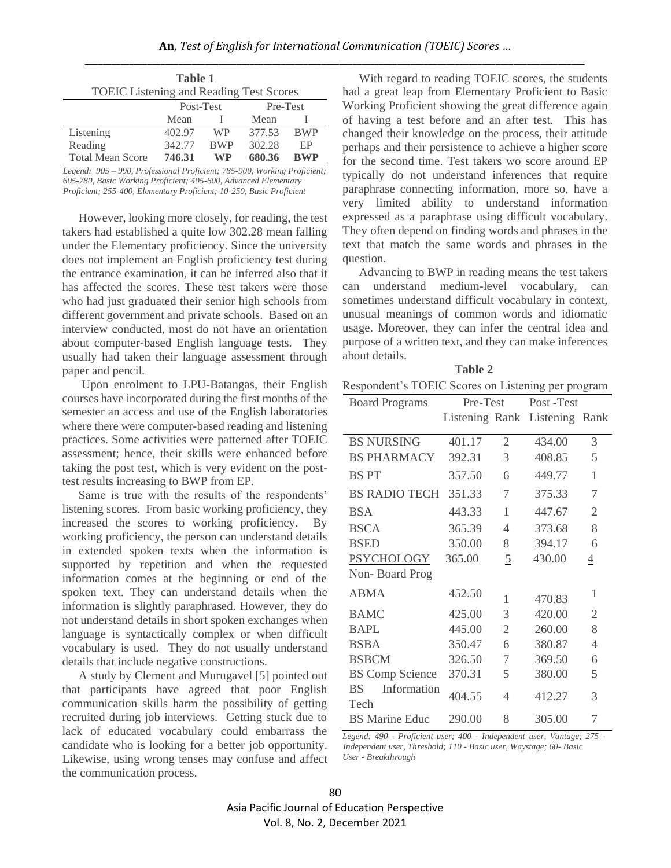| Table 1<br><b>TOEIC</b> Listening and Reading Test Scores |           |            |        |            |  |  |
|-----------------------------------------------------------|-----------|------------|--------|------------|--|--|
|                                                           | Post-Test |            |        | Pre-Test   |  |  |
|                                                           | Mean      |            | Mean   |            |  |  |
| Listening                                                 | 402.97    | WP         | 377.53 | <b>BWP</b> |  |  |
| Reading                                                   | 342.77    | <b>BWP</b> | 302.28 | EP         |  |  |
| <b>Total Mean Score</b>                                   | 746.31    | WP         | 680.36 | <b>RWP</b> |  |  |

*Legend: 905 – 990, Professional Proficient; 785-900, Working Proficient; 605-780, Basic Working Proficient; 405-600, Advanced Elementary Proficient; 255-400, Elementary Proficient; 10-250, Basic Proficient*

However, looking more closely, for reading, the test takers had established a quite low 302.28 mean falling under the Elementary proficiency. Since the university does not implement an English proficiency test during the entrance examination, it can be inferred also that it has affected the scores. These test takers were those who had just graduated their senior high schools from different government and private schools. Based on an interview conducted, most do not have an orientation about computer-based English language tests. They usually had taken their language assessment through paper and pencil.

Upon enrolment to LPU-Batangas, their English courses have incorporated during the first months of the semester an access and use of the English laboratories where there were computer-based reading and listening practices. Some activities were patterned after TOEIC assessment; hence, their skills were enhanced before taking the post test, which is very evident on the posttest results increasing to BWP from EP.

Same is true with the results of the respondents' listening scores. From basic working proficiency, they increased the scores to working proficiency. By working proficiency, the person can understand details in extended spoken texts when the information is supported by repetition and when the requested information comes at the beginning or end of the spoken text. They can understand details when the information is slightly paraphrased. However, they do not understand details in short spoken exchanges when language is syntactically complex or when difficult vocabulary is used. They do not usually understand details that include negative constructions.

A study by Clement and Murugavel [5] pointed out that participants have agreed that poor English communication skills harm the possibility of getting recruited during job interviews. Getting stuck due to lack of educated vocabulary could embarrass the candidate who is looking for a better job opportunity. Likewise, using wrong tenses may confuse and affect the communication process.

With regard to reading TOEIC scores, the students had a great leap from Elementary Proficient to Basic Working Proficient showing the great difference again of having a test before and an after test. This has changed their knowledge on the process, their attitude perhaps and their persistence to achieve a higher score for the second time. Test takers wo score around EP typically do not understand inferences that require paraphrase connecting information, more so, have a very limited ability to understand information expressed as a paraphrase using difficult vocabulary. They often depend on finding words and phrases in the text that match the same words and phrases in the question.

Advancing to BWP in reading means the test takers can understand medium-level vocabulary, can sometimes understand difficult vocabulary in context, unusual meanings of common words and idiomatic usage. Moreover, they can infer the central idea and purpose of a written text, and they can make inferences about details.

|  |                  | <b>Table 2</b> |  |  |
|--|------------------|----------------|--|--|
|  | $\cdot$ TO TLA A |                |  |  |

| <b>Board Programs</b>            | Pre-Test |                | Post-Test                     |                |
|----------------------------------|----------|----------------|-------------------------------|----------------|
|                                  |          |                | Listening Rank Listening Rank |                |
| <b>BS NURSING</b>                | 401.17   | $\overline{2}$ | 434.00                        | 3              |
| <b>BS PHARMACY</b>               | 392.31   | 3              | 408.85                        | 5              |
| <b>BSPT</b>                      | 357.50   | 6              | 449.77                        | $\mathbf{1}$   |
| <b>BS RADIO TECH</b>             | 351.33   | 7              | 375.33                        | $\overline{7}$ |
| <b>BSA</b>                       | 443.33   | 1              | 447.67                        | $\overline{2}$ |
| <b>BSCA</b>                      | 365.39   | 4              | 373.68                        | 8              |
| <b>BSED</b>                      | 350.00   | 8              | 394.17                        | 6              |
| <b>PSYCHOLOGY</b>                | 365.00   | $\overline{5}$ | 430.00                        | $\overline{4}$ |
| Non-Board Prog                   |          |                |                               |                |
| <b>ABMA</b>                      | 452.50   | 1              | 470.83                        | 1              |
| <b>BAMC</b>                      | 425.00   | 3              | 420.00                        | $\overline{2}$ |
| <b>BAPL</b>                      | 445.00   | $\overline{2}$ | 260.00                        | 8              |
| <b>BSBA</b>                      | 350.47   | 6              | 380.87                        | 4              |
| <b>BSBCM</b>                     | 326.50   | 7              | 369.50                        | 6              |
| <b>BS Comp Science</b>           | 370.31   | 5              | 380.00                        | 5              |
| Information<br><b>BS</b><br>Tech | 404.55   | 4              | 412.27                        | 3              |
| <b>BS</b> Marine Educ            | 290.00   | 8              | 305.00                        | 7              |

*Legend: 490 - Proficient user; 400 - Independent user, Vantage; 275 - Independent user, Threshold; 110 - Basic user, Waystage; 60- Basic User - Breakthrough*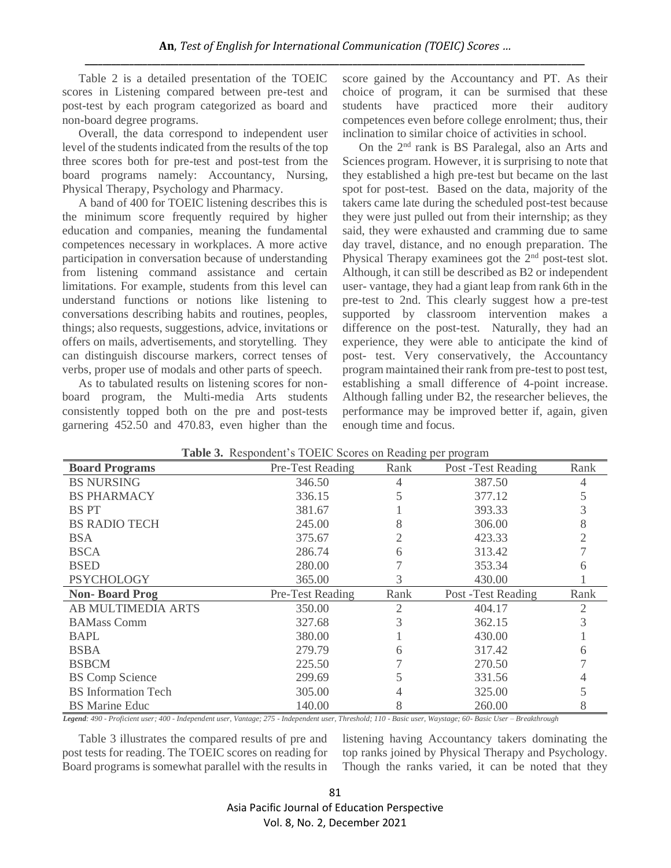Table 2 is a detailed presentation of the TOEIC scores in Listening compared between pre-test and post-test by each program categorized as board and non-board degree programs.

Overall, the data correspond to independent user level of the students indicated from the results of the top three scores both for pre-test and post-test from the board programs namely: Accountancy, Nursing, Physical Therapy, Psychology and Pharmacy.

A band of 400 for TOEIC listening describes this is the minimum score frequently required by higher education and companies, meaning the fundamental competences necessary in workplaces. A more active participation in conversation because of understanding from listening command assistance and certain limitations. For example, students from this level can understand functions or notions like listening to conversations describing habits and routines, peoples, things; also requests, suggestions, advice, invitations or offers on mails, advertisements, and storytelling. They can distinguish discourse markers, correct tenses of verbs, proper use of modals and other parts of speech.

As to tabulated results on listening scores for nonboard program, the Multi-media Arts students consistently topped both on the pre and post-tests garnering 452.50 and 470.83, even higher than the score gained by the Accountancy and PT. As their choice of program, it can be surmised that these students have practiced more their auditory competences even before college enrolment; thus, their inclination to similar choice of activities in school.

On the 2nd rank is BS Paralegal, also an Arts and Sciences program. However, it is surprising to note that they established a high pre-test but became on the last spot for post-test. Based on the data, majority of the takers came late during the scheduled post-test because they were just pulled out from their internship; as they said, they were exhausted and cramming due to same day travel, distance, and no enough preparation. The Physical Therapy examinees got the  $2<sup>nd</sup>$  post-test slot. Although, it can still be described as B2 or independent user- vantage, they had a giant leap from rank 6th in the pre-test to 2nd. This clearly suggest how a pre-test supported by classroom intervention makes a difference on the post-test. Naturally, they had an experience, they were able to anticipate the kind of post- test. Very conservatively, the Accountancy program maintained their rank from pre-test to post test, establishing a small difference of 4-point increase. Although falling under B2, the researcher believes, the performance may be improved better if, again, given enough time and focus.

| <b>Board Programs</b>      | Pre-Test Reading | Rank | Post -Test Reading  | Rank                        |
|----------------------------|------------------|------|---------------------|-----------------------------|
| <b>BS NURSING</b>          | 346.50           | 4    | 387.50              |                             |
| <b>BS PHARMACY</b>         | 336.15           |      | 377.12              |                             |
| <b>BS PT</b>               | 381.67           |      | 393.33              |                             |
| <b>BS RADIO TECH</b>       | 245.00           | 8    | 306.00              |                             |
| <b>BSA</b>                 | 375.67           |      | 423.33              |                             |
| <b>BSCA</b>                | 286.74           | 6    | 313.42              |                             |
| <b>BSED</b>                | 280.00           |      | 353.34              |                             |
| <b>PSYCHOLOGY</b>          | 365.00           | 3    | 430.00              |                             |
| <b>Non-Board Prog</b>      | Pre-Test Reading | Rank | Post - Test Reading | Rank                        |
| <b>AB MULTIMEDIA ARTS</b>  | 350.00           | 2    | 404.17              | $\mathcal{D}_{\mathcal{A}}$ |
| <b>BAMass Comm</b>         | 327.68           | 3    | 362.15              |                             |
| <b>BAPL</b>                | 380.00           |      | 430.00              |                             |
| <b>BSBA</b>                | 279.79           | 6    | 317.42              |                             |
| <b>BSBCM</b>               | 225.50           |      | 270.50              |                             |
| <b>BS Comp Science</b>     | 299.69           |      | 331.56              |                             |
| <b>BS</b> Information Tech | 305.00           |      | 325.00              |                             |
| <b>BS</b> Marine Educ      | 140.00           | 8    | 260.00              |                             |

|  |  | Table 3. Respondent's TOEIC Scores on Reading per program |  |  |
|--|--|-----------------------------------------------------------|--|--|
|--|--|-----------------------------------------------------------|--|--|

*Legend: 490 - Proficient user; 400 - Independent user, Vantage; 275 - Independent user, Threshold; 110 - Basic user, Waystage; 60- Basic User – Breakthrough*

Table 3 illustrates the compared results of pre and post tests for reading. The TOEIC scores on reading for Board programs is somewhat parallel with the results in

listening having Accountancy takers dominating the top ranks joined by Physical Therapy and Psychology. Though the ranks varied, it can be noted that they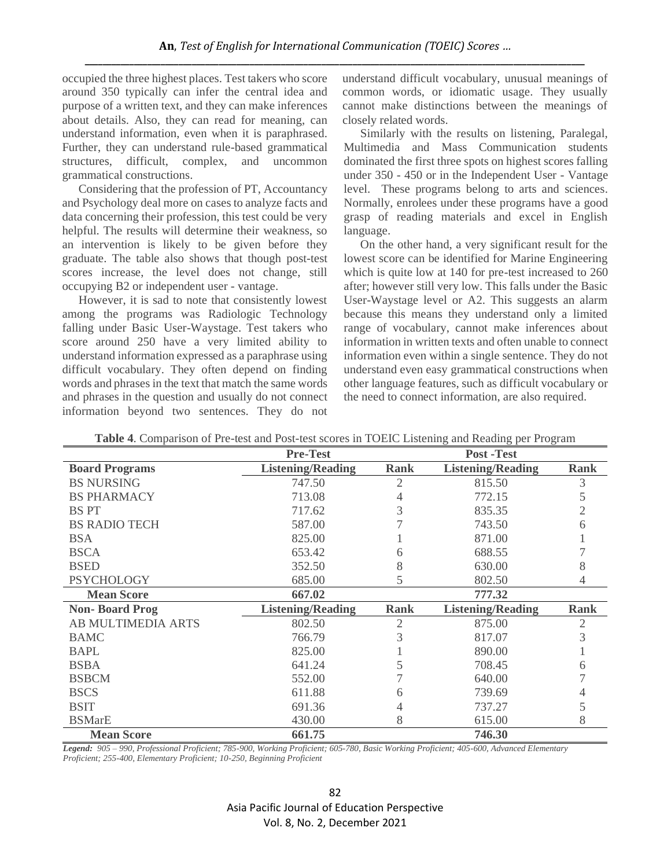occupied the three highest places. Test takers who score around 350 typically can infer the central idea and purpose of a written text, and they can make inferences about details. Also, they can read for meaning, can understand information, even when it is paraphrased. Further, they can understand rule-based grammatical structures, difficult, complex, and uncommon grammatical constructions.

Considering that the profession of PT, Accountancy and Psychology deal more on cases to analyze facts and data concerning their profession, this test could be very helpful. The results will determine their weakness, so an intervention is likely to be given before they graduate. The table also shows that though post-test scores increase, the level does not change, still occupying B2 or independent user - vantage.

However, it is sad to note that consistently lowest among the programs was Radiologic Technology falling under Basic User-Waystage. Test takers who score around 250 have a very limited ability to understand information expressed as a paraphrase using difficult vocabulary. They often depend on finding words and phrases in the text that match the same words and phrases in the question and usually do not connect information beyond two sentences. They do not understand difficult vocabulary, unusual meanings of common words, or idiomatic usage. They usually cannot make distinctions between the meanings of closely related words.

Similarly with the results on listening, Paralegal, Multimedia and Mass Communication students dominated the first three spots on highest scores falling under 350 - 450 or in the Independent User - Vantage level. These programs belong to arts and sciences. Normally, enrolees under these programs have a good grasp of reading materials and excel in English language.

On the other hand, a very significant result for the lowest score can be identified for Marine Engineering which is quite low at 140 for pre-test increased to 260 after; however still very low. This falls under the Basic User-Waystage level or A2. This suggests an alarm because this means they understand only a limited range of vocabulary, cannot make inferences about information in written texts and often unable to connect information even within a single sentence. They do not understand even easy grammatical constructions when other language features, such as difficult vocabulary or the need to connect information, are also required.

|                           | <b>Pre-Test</b>          |             | <b>Post-Test</b>         |             |  |
|---------------------------|--------------------------|-------------|--------------------------|-------------|--|
| <b>Board Programs</b>     | <b>Listening/Reading</b> | Rank        | <b>Listening/Reading</b> | <b>Rank</b> |  |
| <b>BS NURSING</b>         | 747.50                   | 2           | 815.50                   | 3           |  |
| <b>BS PHARMACY</b>        | 713.08                   | 4           | 772.15                   |             |  |
| <b>BS PT</b>              | 717.62                   | 3           | 835.35                   | 2           |  |
| <b>BS RADIO TECH</b>      | 587.00                   |             | 743.50                   | 6           |  |
| <b>BSA</b>                | 825.00                   |             | 871.00                   |             |  |
| <b>BSCA</b>               | 653.42                   | 6           | 688.55                   |             |  |
| <b>BSED</b>               | 352.50                   | 8           | 630.00                   |             |  |
| <b>PSYCHOLOGY</b>         | 685.00                   | 5           | 802.50                   |             |  |
| <b>Mean Score</b>         | 667.02                   |             | 777.32                   |             |  |
| <b>Non-Board Prog</b>     | <b>Listening/Reading</b> | <b>Rank</b> | <b>Listening/Reading</b> | <b>Rank</b> |  |
| <b>AB MULTIMEDIA ARTS</b> | 802.50                   | 2           | 875.00                   | 2           |  |
| <b>BAMC</b>               | 766.79                   | 3           | 817.07                   | 3           |  |
| <b>BAPL</b>               | 825.00                   |             | 890.00                   |             |  |
| <b>BSBA</b>               | 641.24                   |             | 708.45                   |             |  |
| <b>BSBCM</b>              | 552.00                   |             | 640.00                   |             |  |
| <b>BSCS</b>               | 611.88                   | 6           | 739.69                   |             |  |
| <b>BSIT</b>               | 691.36                   | 4           | 737.27                   |             |  |
| <b>BSMarE</b>             | 430.00                   | 8           | 615.00                   | 8           |  |
| <b>Mean Score</b>         | 661.75                   |             | 746.30                   |             |  |

**Table 4**. Comparison of Pre-test and Post-test scores in TOEIC Listening and Reading per Program

*Legend: 905 – 990, Professional Proficient; 785-900, Working Proficient; 605-780, Basic Working Proficient; 405-600, Advanced Elementary Proficient; 255-400, Elementary Proficient; 10-250, Beginning Proficient*

> 82 Asia Pacific Journal of Education Perspective Vol. 8, No. 2, December 2021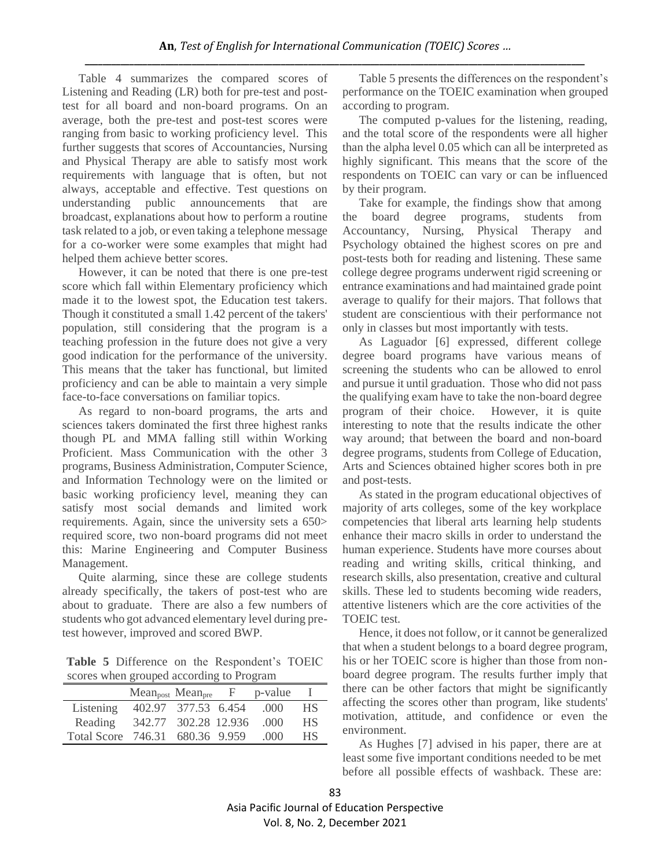Table 4 summarizes the compared scores of Listening and Reading (LR) both for pre-test and posttest for all board and non-board programs. On an average, both the pre-test and post-test scores were ranging from basic to working proficiency level. This further suggests that scores of Accountancies, Nursing and Physical Therapy are able to satisfy most work requirements with language that is often, but not always, acceptable and effective. Test questions on understanding public announcements that are broadcast, explanations about how to perform a routine task related to a job, or even taking a telephone message for a co-worker were some examples that might had helped them achieve better scores.

However, it can be noted that there is one pre-test score which fall within Elementary proficiency which made it to the lowest spot, the Education test takers. Though it constituted a small 1.42 percent of the takers' population, still considering that the program is a teaching profession in the future does not give a very good indication for the performance of the university. This means that the taker has functional, but limited proficiency and can be able to maintain a very simple face-to-face conversations on familiar topics.

As regard to non-board programs, the arts and sciences takers dominated the first three highest ranks though PL and MMA falling still within Working Proficient. Mass Communication with the other 3 programs, Business Administration, Computer Science, and Information Technology were on the limited or basic working proficiency level, meaning they can satisfy most social demands and limited work requirements. Again, since the university sets a 650> required score, two non-board programs did not meet this: Marine Engineering and Computer Business Management.

Quite alarming, since these are college students already specifically, the takers of post-test who are about to graduate. There are also a few numbers of students who got advanced elementary level during pretest however, improved and scored BWP.

**Table 5** Difference on the Respondent's TOEIC scores when grouped according to Program

|                                 | $Mean_{post} Mean_{pre}$ |                     | $\mathbf{F}$ | p-value |           |
|---------------------------------|--------------------------|---------------------|--------------|---------|-----------|
| Listening                       |                          | 402.97 377.53 6.454 |              | .000    | НS        |
| Reading                         | 342.77 302.28 12.936     |                     |              | -000    | <b>HS</b> |
| Total Score 746.31 680.36 9.959 |                          |                     |              | (1)(1)  | НS        |

Table 5 presents the differences on the respondent's performance on the TOEIC examination when grouped according to program.

The computed p-values for the listening, reading, and the total score of the respondents were all higher than the alpha level 0.05 which can all be interpreted as highly significant. This means that the score of the respondents on TOEIC can vary or can be influenced by their program.

Take for example, the findings show that among the board degree programs, students from Accountancy, Nursing, Physical Therapy and Psychology obtained the highest scores on pre and post-tests both for reading and listening. These same college degree programs underwent rigid screening or entrance examinations and had maintained grade point average to qualify for their majors. That follows that student are conscientious with their performance not only in classes but most importantly with tests.

As Laguador [6] expressed, different college degree board programs have various means of screening the students who can be allowed to enrol and pursue it until graduation. Those who did not pass the qualifying exam have to take the non-board degree program of their choice. However, it is quite interesting to note that the results indicate the other way around; that between the board and non-board degree programs, students from College of Education, Arts and Sciences obtained higher scores both in pre and post-tests.

As stated in the program educational objectives of majority of arts colleges, some of the key workplace competencies that liberal arts learning help students enhance their macro skills in order to understand the human experience. Students have more courses about reading and writing skills, critical thinking, and research skills, also presentation, creative and cultural skills. These led to students becoming wide readers, attentive listeners which are the core activities of the TOEIC test.

Hence, it does not follow, or it cannot be generalized that when a student belongs to a board degree program, his or her TOEIC score is higher than those from nonboard degree program. The results further imply that there can be other factors that might be significantly affecting the scores other than program, like students' motivation, attitude, and confidence or even the environment.

As Hughes [7] advised in his paper, there are at least some five important conditions needed to be met before all possible effects of washback. These are: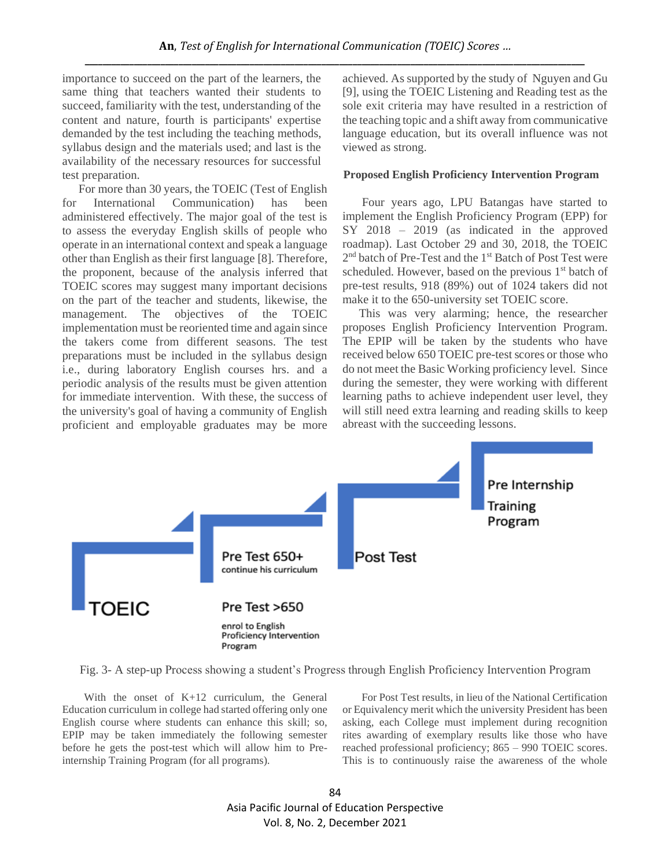importance to succeed on the part of the learners, the same thing that teachers wanted their students to succeed, familiarity with the test, understanding of the content and nature, fourth is participants' expertise demanded by the test including the teaching methods, syllabus design and the materials used; and last is the availability of the necessary resources for successful test preparation.

For more than 30 years, the TOEIC (Test of English for International Communication) has been administered effectively. The major goal of the test is to assess the everyday English skills of people who operate in an international context and speak a language other than English as their first language [8]. Therefore, the proponent, because of the analysis inferred that TOEIC scores may suggest many important decisions on the part of the teacher and students, likewise, the management. The objectives of the TOEIC implementation must be reoriented time and again since the takers come from different seasons. The test preparations must be included in the syllabus design i.e., during laboratory English courses hrs. and a periodic analysis of the results must be given attention for immediate intervention. With these, the success of the university's goal of having a community of English proficient and employable graduates may be more achieved. As supported by the study of Nguyen and Gu [9], using the TOEIC Listening and Reading test as the sole exit criteria may have resulted in a restriction of the teaching topic and a shift away from communicative language education, but its overall influence was not viewed as strong.

## **Proposed English Proficiency Intervention Program**

Four years ago, LPU Batangas have started to implement the English Proficiency Program (EPP) for SY 2018 – 2019 (as indicated in the approved roadmap). Last October 29 and 30, 2018, the TOEIC 2<sup>nd</sup> batch of Pre-Test and the 1<sup>st</sup> Batch of Post Test were scheduled. However, based on the previous 1<sup>st</sup> batch of pre-test results, 918 (89%) out of 1024 takers did not make it to the 650-university set TOEIC score.

This was very alarming; hence, the researcher proposes English Proficiency Intervention Program. The EPIP will be taken by the students who have received below 650 TOEIC pre-test scores or those who do not meet the Basic Working proficiency level. Since during the semester, they were working with different learning paths to achieve independent user level, they will still need extra learning and reading skills to keep abreast with the succeeding lessons.



Fig. 3- A step-up Process showing a student's Progress through English Proficiency Intervention Program

 With the onset of K+12 curriculum, the General Education curriculum in college had started offering only one English course where students can enhance this skill; so, EPIP may be taken immediately the following semester before he gets the post-test which will allow him to Preinternship Training Program (for all programs).

For Post Test results, in lieu of the National Certification or Equivalency merit which the university President has been asking, each College must implement during recognition rites awarding of exemplary results like those who have reached professional proficiency; 865 – 990 TOEIC scores. This is to continuously raise the awareness of the whole